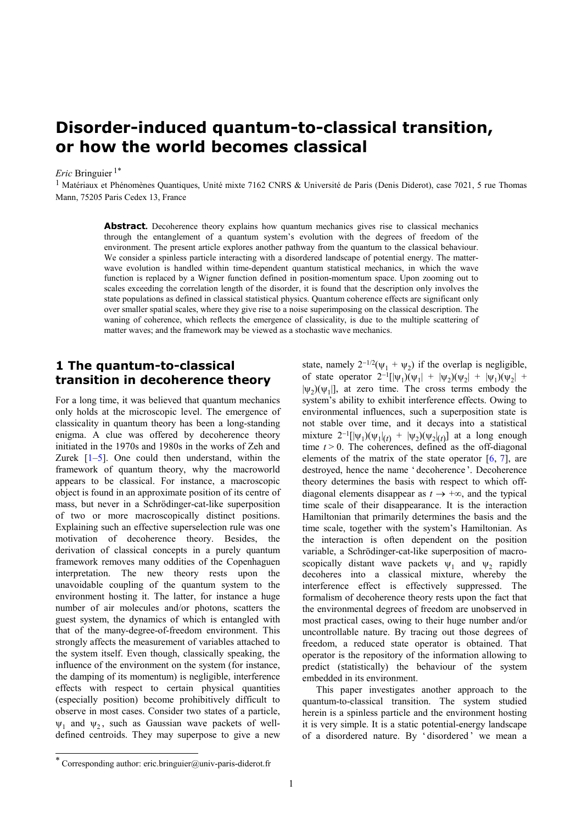## **Disorder-induced quantum-to-classical transition, or how the world becomes classical**

#### *Eric* Bringuier 1\*

<sup>1</sup> Matériaux et Phénomènes Quantiques, Unité mixte 7162 CNRS & Université de Paris (Denis Diderot), case 7021, 5 rue Thomas Mann, 75205 Paris Cedex 13, France

> **Abstract.** Decoherence theory explains how quantum mechanics gives rise to classical mechanics through the entanglement of a quantum system's evolution with the degrees of freedom of the environment. The present article explores another pathway from the quantum to the classical behaviour. We consider a spinless particle interacting with a disordered landscape of potential energy. The matterwave evolution is handled within time-dependent quantum statistical mechanics, in which the wave function is replaced by a Wigner function defined in position-momentum space. Upon zooming out to scales exceeding the correlation length of the disorder, it is found that the description only involves the state populations as defined in classical statistical physics. Quantum coherence effects are significant only over smaller spatial scales, where they give rise to a noise superimposing on the classical description. The waning of coherence, which reflects the emergence of classicality, is due to the multiple scattering of matter waves; and the framework may be viewed as a stochastic wave mechanics.

#### **1 The quantum-to-classical transition in decoherence theory**

For a long time, it was believed that quantum mechanics only holds at the microscopic level. The emergence of classicality in quantum theory has been a long-standing enigma. A clue was offered by decoherence theory initiated in the 1970s and 1980s in the works of Zeh and Zurek  $[1-5]$ . One could then understand, within the framework of quantum theory, why the macroworld appears to be classical. For instance, a macroscopic object is found in an approximate position of its centre of mass, but never in a Schrödinger-cat-like superposition of two or more macroscopically distinct positions. Explaining such an effective superselection rule was one motivation of decoherence theory. Besides, the derivation of classical concepts in a purely quantum framework removes many oddities of the Copenhaguen interpretation. The new theory rests upon the unavoidable coupling of the quantum system to the environment hosting it. The latter, for instance a huge number of air molecules and/or photons, scatters the guest system, the dynamics of which is entangled with that of the many-degree-of-freedom environment. This strongly affects the measurement of variables attached to the system itself. Even though, classically speaking, the influence of the environment on the system (for instance, the damping of its momentum) is negligible, interference effects with respect to certain physical quantities (especially position) become prohibitively difficult to observe in most cases. Consider two states of a particle,  $\psi_1$  and  $\psi_2$ , such as Gaussian wave packets of welldefined centroids. They may superpose to give a new

state, namely  $2^{-1/2}(\psi_1 + \psi_2)$  if the overlap is negligible, of state operator  $2^{-1} [|\psi_1\rangle(\psi_1| + |\psi_2\rangle(\psi_2| + |\psi_1\rangle(\psi_2| +$  $|\psi_2\rangle(\psi_1|)$ , at zero time. The cross terms embody the system's ability to exhibit interference effects. Owing to environmental influences, such a superposition state is not stable over time, and it decays into a statistical mixture 2<sup>-1</sup>[|ψ<sub>1</sub>)(ψ<sub>1</sub>|<sub>(t)</sub> + |ψ<sub>2</sub>)(ψ<sub>2</sub>|<sub>(t)</sub>] at a long enough time  $t > 0$ . The coherences, defined as the off-diagonal elements of the matrix of the state operator  $[6, 7]$ , are destroyed, hence the name ' decoherence '. Decoherence theory determines the basis with respect to which offdiagonal elements disappear as  $t \rightarrow +\infty$ , and the typical time scale of their disappearance. It is the interaction Hamiltonian that primarily determines the basis and the time scale, together with the system's Hamiltonian. As the interaction is often dependent on the position variable, a Schrödinger-cat-like superposition of macroscopically distant wave packets  $\psi_1$  and  $\psi_2$  rapidly decoheres into a classical mixture, whereby the interference effect is effectively suppressed. The formalism of decoherence theory rests upon the fact that the environmental degrees of freedom are unobserved in most practical cases, owing to their huge number and/or uncontrollable nature. By tracing out those degrees of freedom, a reduced state operator is obtained. That operator is the repository of the information allowing to predict (statistically) the behaviour of the system embedded in its environment.

This paper investigates another approach to the quantum-to-classical transition. The system studied herein is a spinless particle and the environment hosting it is very simple. It is a static potential-energy landscape of a disordered nature. By ' disordered ' we mean a

 $\overline{a}$ 

<sup>\*</sup> Corresponding author: eric.bringuier@univ-paris-diderot.fr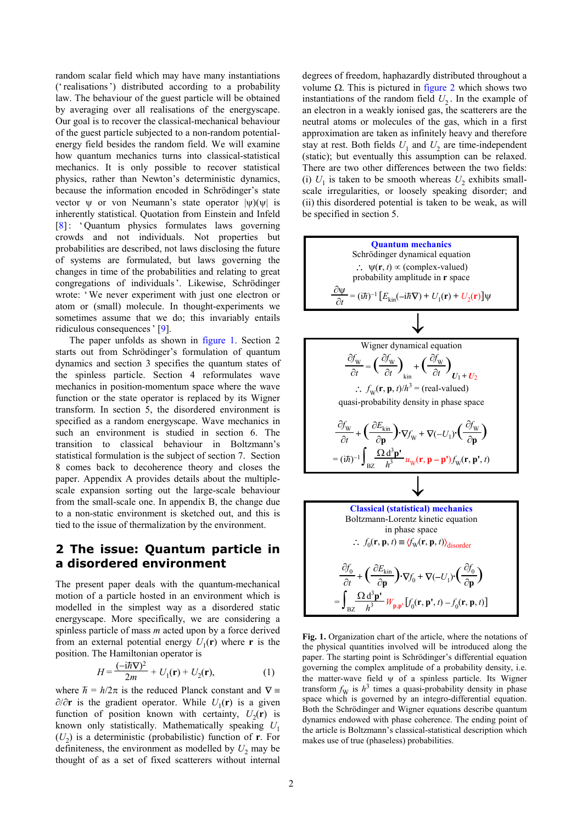random scalar field which may have many instantiations ('realisations') distributed according to a probability law. The behaviour of the guest particle will be obtained by averaging over all realisations of the energyscape. Our goal is to recover the classical-mechanical behaviour of the guest particle subjected to a non-random potentialenergy field besides the random field. We will examine how quantum mechanics turns into classical-statistical mechanics. It is only possible to recover statistical physics, rather than Newton's deterministic dynamics, because the information encoded in Schrödinger's state vector  $\psi$  or von Neumann's state operator  $|\psi\rangle(\psi)$  is inherently statistical. Quotation from Einstein and Infeld [8]: ' Quantum physics formulates laws governing crowds and not individuals. Not properties but probabilities are described, not laws disclosing the future of systems are formulated, but laws governing the changes in time of the probabilities and relating to great congregations of individuals'. Likewise, Schrödinger wrote: 'We never experiment with just one electron or atom or (small) molecule. In thought-experiments we sometimes assume that we do; this invariably entails ridiculous consequences' [9].

The paper unfolds as shown in figure 1. Section 2 starts out from Schrödinger's formulation of quantum dynamics and section 3 specifies the quantum states of the spinless particle. Section 4 reformulates wave mechanics in position-momentum space where the wave function or the state operator is replaced by its Wigner transform. In section 5, the disordered environment is specified as a random energyscape. Wave mechanics in such an environment is studied in section 6. The transition to classical behaviour in Boltzmann's statistical formulation is the subject of section 7. Section 8 comes back to decoherence theory and closes the paper. Appendix A provides details about the multiplescale expansion sorting out the large-scale behaviour from the small-scale one. In appendix B, the change due to a non-static environment is sketched out, and this is tied to the issue of thermalization by the environment.

#### **2 The issue: Quantum particle in a disordered environment**

The present paper deals with the quantum-mechanical motion of a particle hosted in an environment which is modelled in the simplest way as a disordered static energyscape. More specifically, we are considering a spinless particle of mass *m* acted upon by a force derived from an external potential energy  $U_1(\mathbf{r})$  where **r** is the position. The Hamiltonian operator is

$$
H = \frac{(-i\hbar \nabla)^2}{2m} + U_1(\mathbf{r}) + U_2(\mathbf{r}),\tag{1}
$$

where *h*  $\hbar = h/2\pi$  is the reduced Planck constant and  $\nabla =$ ∂/∂**r** is the gradient operator. While  $U_1$ (**r**) is a given function of position known with certainty,  $U_2(\mathbf{r})$  is known only statistically. Mathematically speaking *U*<sup>1</sup>  $(U_2)$  is a deterministic (probabilistic) function of **r**. For definiteness, the environment as modelled by  $U_2$  may be thought of as a set of fixed scatterers without internal degrees of freedom, haphazardly distributed throughout a volume  $Ω$ . This is pictured in figure 2 which shows two instantiations of the random field  $U_2$ . In the example of an electron in a weakly ionised gas, the scatterers are the neutral atoms or molecules of the gas, which in a first approximation are taken as infinitely heavy and therefore stay at rest. Both fields  $U_1$  and  $U_2$  are time-independent (static); but eventually this assumption can be relaxed. There are two other differences between the two fields: (i)  $U_1$  is taken to be smooth whereas  $U_2$  exhibits smallscale irregularities, or loosely speaking disorder; and (ii) this disordered potential is taken to be weak, as will be specified in section 5.



**Fig. 1.** Organization chart of the article, where the notations of the physical quantities involved will be introduced along the paper. The starting point is Schrödinger's differential equation governing the complex amplitude of a probability density, i.e. the matter-wave field  $\psi$  of a spinless particle. Its Wigner transform  $f_{\text{W}}$  is  $h^3$  times a quasi-probability density in phase space which is governed by an integro-differential equation. Both the Schrödinger and Wigner equations describe quantum dynamics endowed with phase coherence. The ending point of the article is Boltzmann's classical-statistical description which makes use of true (phaseless) probabilities.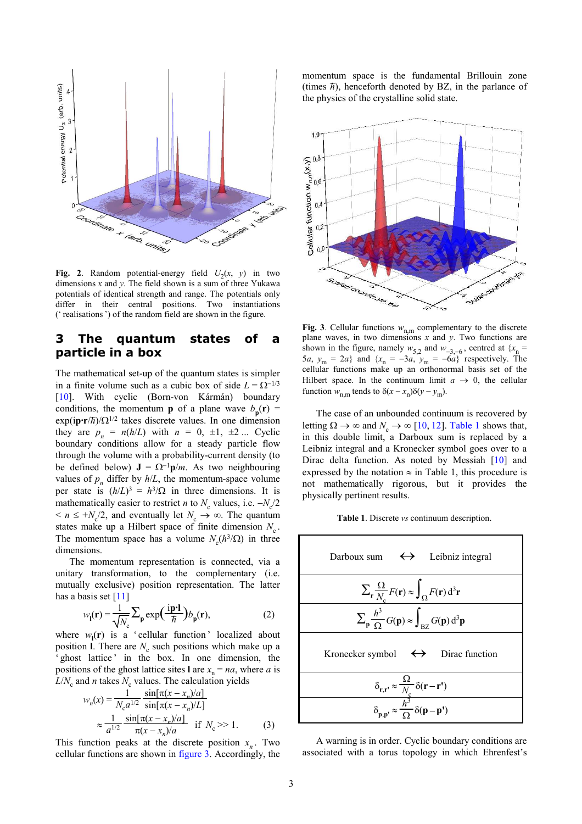

**Fig. 2**. Random potential-energy field  $U_2(x, y)$  in two dimensions *x* and *y*. The field shown is a sum of three Yukawa potentials of identical strength and range. The potentials only differ in their central positions. Two instantiations (' realisations') of the random field are shown in the figure.

#### **3 The quantum states of a particle in a box**

The mathematical set-up of the quantum states is simpler in a finite volume such as a cubic box of side  $L = \Omega^{-1/3}$ [10]. With cyclic (Born-von Kármán) boundary conditions, the momentum **p** of a plane wave  $b_p(\mathbf{r}) =$  $\exp(i\mathbf{p}\cdot\mathbf{r}/\hbar)/(\Omega^{1/2})$  takes discrete values. In one dimension they are  $p_n = n(h/L)$  with  $n = 0, \pm 1, \pm 2, \ldots$  Cyclic boundary conditions allow for a steady particle flow through the volume with a probability-current density (to be defined below)  $J = \Omega^{-1}p/m$ . As two neighbouring values of  $p_n$  differ by  $h/L$ , the momentum-space volume per state is  $(h/L)^3 = h^3/\Omega$  in three dimensions. It is mathematically easier to restrict *n* to  $N_c$  values, i.e.  $-N_c/2$  $\leq n \leq +N_c/2$ , and eventually let  $N_c \to \infty$ . The quantum states make up a Hilbert space of finite dimension  $N_c$ . The momentum space has a volume  $N_c(h^3/\Omega)$  in three dimensions.

unitary transformation, to the complementary (i.e. mutually exclusive) position representation. The latter  $\sum_{\mathbf{r}}$ 

$$
w_{\mathbf{l}}(\mathbf{r}) = \frac{1}{\sqrt{N_c}} \sum_{\mathbf{p}} \exp\left(\frac{\mathbf{i}\mathbf{p}\cdot\mathbf{l}}{\hbar}\right) b_{\mathbf{p}}(\mathbf{r}),\tag{2}
$$

where  $w_l(\mathbf{r})$  is a 'cellular function' localized about position **l**. There are  $N_c$  such positions which make up a ' ghost lattice' in the box. In one dimension, the positions of the ghost lattice sites **l** are  $x_n = na$ , where *a* is  $L/N_c$  and *n* takes  $N_c$  values. The calculation yields

$$
w_n(x) = \frac{1}{N_c a^{1/2}} \frac{\sin[\pi(x - x_n)/a]}{\sin[\pi(x - x_n)/a]}
$$
  
\n
$$
\approx \frac{1}{a^{1/2}} \frac{\sin[\pi(x - x_n)/a]}{\pi(x - x_n)/a} \quad \text{if } N_c >> 1.
$$
 (3)

This function peaks at the discrete position  $x_n$ . Two cellular functions are shown in figure 3. Accordingly, the

momentum space is the fundamental Brillouin zone (times  $\bar{\hbar}$ ), henceforth denoted by BZ, in the parlance of the physics of the crystalline solid state.



**Fig. 3**. Cellular functions  $w_{n,m}$  complementary to the discrete plane waves, in two dimensions *x* and *y*. Two functions are shown in the figure, namely  $w_{5,2}$  and  $w_{-3,-6}$ , centred at  $\{x_n =$ 5*a*,  $y_m = 2a$ } and  $\{x_n = -3a, y_m = -6a\}$  respectively. The cellular functions make up an orthonormal basis set of the Hilbert space. In the continuum limit  $a \rightarrow 0$ , the cellular function  $w_{n,m}$  tends to  $\delta(x - x_n)\delta(y - y_m)$ .

The case of an unbounded continuum is recovered by letting  $\Omega \to \infty$  and  $N_c \to \infty$  [10, 12]. Table 1 shows that, in this double limit, a Darboux sum is replaced by a Leibniz integral and a Kronecker symbol goes over to a Dirac delta function. As noted by Messiah [10] and expressed by the notation  $\approx$  in Table 1, this procedure is not mathematically rigorous, but it provides the physically pertinent results.

**Table 1**. Discrete *vs* continuum description.



A warning is in order. Cyclic boundary conditions are associated with a torus topology in which Ehrenfest's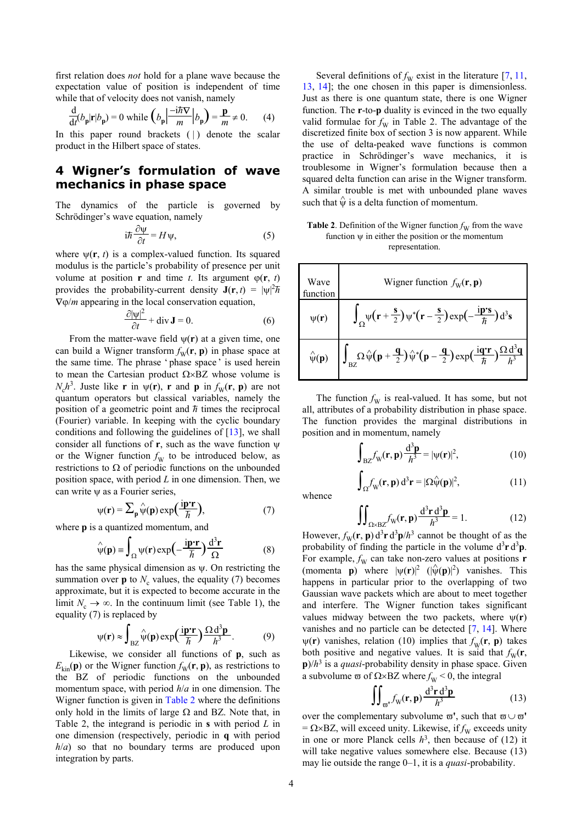first relation does *not* hold for a plane wave because the expectation value of position is independent of time while that of velocity does not vanish, namely

$$
\frac{d}{dt}(b_p|r|b_p) = 0 \text{ while } \left(b_p \left|\frac{-i\hbar \mathbf{V}}{m}\right| b_p\right) = \frac{\mathbf{p}}{m} \neq 0. \tag{4}
$$

In this paper round brackets  $( )$  denote the scalar product in the Hilbert space of states.

#### **4 Wigner's formulation of wave mechanics in phase space**

The dynamics of the particle is governed by Schrödinger's wave equation, namely

$$
i\hbar \frac{\partial \psi}{\partial t} = H \psi,\tag{5}
$$

where  $\psi(\mathbf{r}, t)$  is a complex-valued function. Its squared modulus is the particle's probability of presence per unit volume at position **r** and time *t*. Its argument  $\varphi(\mathbf{r}, t)$ provides the probability-current density  $J(r, t) = |\psi|^2 \hbar$ ∇ϕ/*m* appearing in the local conservation equation,

$$
\frac{\partial |\psi|^2}{\partial t} + \operatorname{div} \mathbf{J} = 0.
$$
 (6)

From the matter-wave field  $\psi(\mathbf{r})$  at a given time, one can build a Wigner transform  $f_w(\mathbf{r}, \mathbf{p})$  in phase space at the same time. The phrase 'phase space' is used herein to mean the Cartesian product  $\Omega \times BZ$  whose volume is  $N_c h^3$ . Juste like **r** in  $\psi(\mathbf{r})$ , **r** and **p** in  $f_W(\mathbf{r}, \mathbf{p})$  are not quantum operators but classical variables, namely the \_ position of a geometric point and *h* times the reciprocal (Fourier) variable. In keeping with the cyclic boundary conditions and following the guidelines of [13], we shall consider all functions of **r**, such as the wave function ψ or the Wigner function  $f_{\rm W}$  to be introduced below, as restrictions to  $\Omega$  of periodic functions on the unbounded position space, with period *L* in one dimension. Then, we can write ψ as a Fourier series,

where  
\n
$$
\psi(\mathbf{r}) = \sum_{\mathbf{p}} \hat{\psi}(\mathbf{p}) \exp\left(\frac{\mathbf{i}\mathbf{p}\cdot\mathbf{r}}{\hbar}\right),
$$
\n
$$
\text{where } \mathbf{p} \text{ is the same as } \mathbf{p} \text{ and } \mathbf{p} \text{ is the same as } \mathbf{p} \text{ and } \mathbf{p} \text{ is the same as } \mathbf{p} \text{ is the same as } \mathbf{p} \text{ is the same as } \mathbf{p} \text{ is the same as } \mathbf{p} \text{ is the same as } \mathbf{p} \text{ is the same as } \mathbf{p} \text{ is the same as } \mathbf{p} \text{ is the same as } \mathbf{p} \text{ is the same as } \mathbf{p} \text{ is the same as } \mathbf{p} \text{ is the same as } \mathbf{p} \text{ is the same as } \mathbf{p} \text{ is the same as } \mathbf{p} \text{ is the same as } \mathbf{p} \text{ is the same as } \mathbf{p} \text{ is the same as } \mathbf{p} \text{ is the same as } \mathbf{p} \text{ is the same as } \mathbf{p} \text{ is the same as } \mathbf{p} \text{ is the same as } \mathbf{p} \text{ is the same as } \mathbf{p} \text{ is the same as } \mathbf{p} \text{ is the same as } \mathbf{p} \text{ is the same as } \mathbf{p} \text{ is the same as } \mathbf{p} \text{ is the same as } \mathbf{p} \text{ is the same as } \mathbf{p} \text{ is the same as } \mathbf{p} \text{ is the same as } \mathbf{p} \text{ is the same as } \mathbf{p} \text{ is the same as } \mathbf{p} \text{ is the same as } \mathbf{p} \text{ is the same as } \mathbf{p} \text{ is the same as } \mathbf{p} \text{ is the same as } \mathbf{p} \text{ is the same as } \mathbf{p} \text{ is the same as } \mathbf{p} \text{ is the same as } \mathbf{p} \text{ is the same as } \mathbf{p} \text{ is the same as } \mathbf{p} \text{ is the same as } \mathbf{p} \text{ is the same as } \mathbf{p} \text{ is the same as } \mathbf{p} \text{ is the same as } \mathbf{p} \text{ is the same as } \mathbf{
$$

where **p** is a quantized momentum, and

$$
\hat{\psi}(\mathbf{p}) \equiv \int_{\Omega} \psi(\mathbf{r}) \exp\left(-\frac{\mathbf{i}\mathbf{p}\cdot\mathbf{r}}{\hbar}\right) \frac{\mathrm{d}^3 \mathbf{r}}{\Omega} \tag{8}
$$

has the same physical dimension as  $\psi$ . On restricting the summation over  $p$  to  $N_c$  values, the equality (7) becomes approximate, but it is expected to become accurate in the limit  $N_c \rightarrow \infty$ . In the continuum limit (see Table 1), the equality (7) is replaced by

$$
\psi(\mathbf{r}) \approx \int_{\text{BZ}} \hat{\psi}(\mathbf{p}) \exp\left(\frac{i\mathbf{p}\cdot\mathbf{r}}{\hbar}\right) \frac{\Omega d^3 \mathbf{p}}{h^3}.
$$
 (9)

Likewise, we consider all functions of **p**, such as  $E_{kin}(\mathbf{p})$  or the Wigner function  $f_{\rm W}(\mathbf{r}, \mathbf{p})$ , as restrictions to the BZ of periodic functions on the unbounded momentum space, with period *h*/*a* in one dimension. The Wigner function is given in Table 2 where the definitions only hold in the limits of large  $\Omega$  and BZ. Note that, in Table 2, the integrand is periodic in **s** with period *L* in one dimension (respectively, periodic in **q** with period *h*/*a*) so that no boundary terms are produced upon integration by parts.

Several definitions of  $f_W$  exist in the literature [7, 11, 13, 14]; the one chosen in this paper is dimensionless. Just as there is one quantum state, there is one Wigner function. The **r**-to-**p** duality is evinced in the two equally valid formulae for  $f_{\rm W}$  in Table 2. The advantage of the discretized finite box of section 3 is now apparent. While the use of delta-peaked wave functions is common practice in Schrödinger's wave mechanics, it is troublesome in Wigner's formulation because then a squared delta function can arise in the Wigner transform. A similar trouble is met with unbounded plane waves such that  $\hat{\psi}$  is a delta function of momentum.

#### **Table 2**. Definition of the Wigner function  $f_W$  from the wave function  $\psi$  in either the position or the momentum representation.

| tuene s probability of presence per unit<br>on <b>r</b> and time <i>t</i> . Its argument $\varphi(\mathbf{r}, t)$<br>pability-current density $J(r, t) =  \psi ^2 \hbar$ | Wave<br>function   | Wigner function $f_w(\mathbf{r}, \mathbf{p})$                                                                                                                                                                                            |
|--------------------------------------------------------------------------------------------------------------------------------------------------------------------------|--------------------|------------------------------------------------------------------------------------------------------------------------------------------------------------------------------------------------------------------------------------------|
| in the local conservation equation,                                                                                                                                      |                    |                                                                                                                                                                                                                                          |
| $\frac{\partial  \Psi ^2}{\partial t} + \text{div } \mathbf{J} = 0.$<br>(6)                                                                                              | $\psi(\mathbf{r})$ | $\int_{\Omega} \psi \left( \mathbf{r} + \frac{\mathbf{s}}{2} \right) \psi^* \left( \mathbf{r} - \frac{\mathbf{s}}{2} \right) \exp \left( - \frac{\mathbf{i} \mathbf{p} \cdot \mathbf{s}}{\hbar} \right) d^3 \mathbf{s}$                  |
| er-wave field $\psi(\mathbf{r})$ at a given time, one                                                                                                                    |                    |                                                                                                                                                                                                                                          |
| er transform $f_{\rm w}(\mathbf{r}, \mathbf{p})$ in phase space at                                                                                                       |                    |                                                                                                                                                                                                                                          |
| ne phrase 'phase space' is used herein                                                                                                                                   |                    | $\hat{\psi}(\mathbf{p}) = \left  \int_{BZ} \Omega \hat{\psi}(\mathbf{p} + \frac{\mathbf{q}}{2}) \hat{\psi}^*(\mathbf{p} - \frac{\mathbf{q}}{2}) \exp(\frac{i\mathbf{q}\cdot\mathbf{r}}{\hbar}) \frac{\Omega d^3\mathbf{q}}{h^3} \right $ |
| esian product $\Omega \times BZ$ whose volume is                                                                                                                         |                    |                                                                                                                                                                                                                                          |

The function  $f_{\rm W}$  is real-valued. It has some, but not all, attributes of a probability distribution in phase space. The function provides the marginal distributions in position and in momentum, namely

 $\int_{\Omega} f_{\rm W}(\mathbf{r}, \mathbf{p}) \, \mathrm{d}^3 \mathbf{r} = |\Omega \hat{\Psi}(\mathbf{p})|^2$ 

$$
\int_{\mathrm{BZ}} f_{\mathrm{W}}(\mathbf{r}, \mathbf{p}) \frac{\mathrm{d}^3 \mathbf{p}}{h^3} = |\psi(\mathbf{r})|^2,\tag{10}
$$

 $(11)$ 

whence

$$
\iint_{\Omega \times BZ} f_W(\mathbf{r}, \mathbf{p}) \frac{d^3 \mathbf{r} d^3 \mathbf{p}}{h^3} = 1.
$$
 (12)

However,  $f_{\rm W}(\mathbf{r}, \mathbf{p}) d^3 \mathbf{r} d^3 \mathbf{p}/h^3$  cannot be thought of as the probability of finding the particle in the volume  $d^3r d^3p$ . For example,  $f_{\rm W}$  can take non-zero values at positions **r** (momenta **p**) where  $|\psi(\mathbf{r})|^2$  ( $|\hat{\psi}(\mathbf{p})|^2$ ) vanishes. This happens in particular prior to the overlapping of two Gaussian wave packets which are about to meet together and interfere. The Wigner function takes significant values midway between the two packets, where  $\psi(\mathbf{r})$ vanishes and no particle can be detected [7, 14]. Where  $\psi(\mathbf{r})$  vanishes, relation (10) implies that  $f_{\psi}(\mathbf{r}, \mathbf{p})$  takes both positive and negative values. It is said that  $f<sub>W</sub>(r,$ **p**)/*h* 3 is a *quasi*-probability density in phase space. Given a subvolume  $\omega$  of  $\Omega \times BZ$  where  $f_W < 0$ , the integral

$$
\iint_{\mathfrak{m}'} f_{\mathfrak{W}}(\mathbf{r}, \mathbf{p}) \frac{d^3 \mathbf{r} d^3 \mathbf{p}}{h^3} \tag{13}
$$

over the complementary subvolume  $\varpi'$ , such that  $\varpi \cup \varpi'$ =  $\Omega \times BZ$ , will exceed unity. Likewise, if  $f_{\text{W}}$  exceeds unity in one or more Planck cells  $h^3$ , then because of (12) it will take negative values somewhere else. Because (13) may lie outside the range 0–1, it is a *quasi*-probability.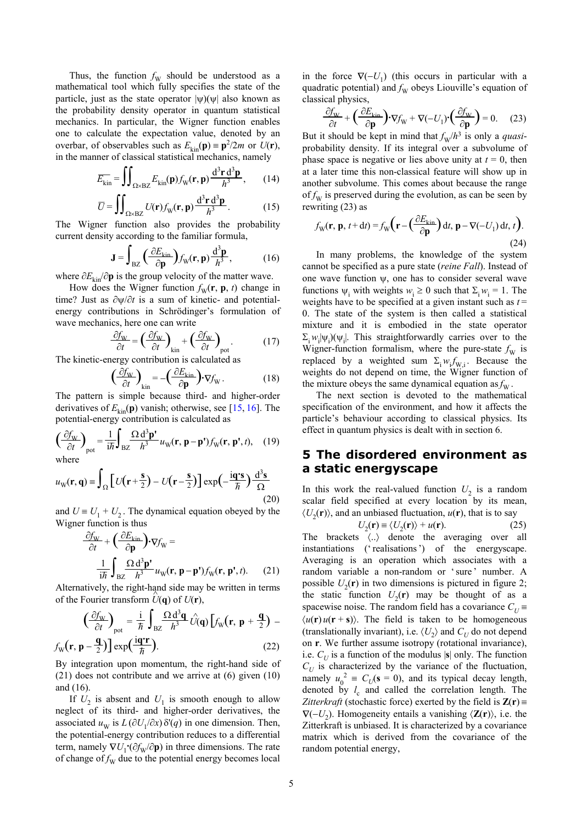Thus, the function  $f_{\rm W}$  should be understood as a mathematical tool which fully specifies the state of the particle, just as the state operator  $|\psi\rangle(\psi|)$  also known as the probability density operator in quantum statistical mechanics. In particular, the Wigner function enables one to calculate the expectation value, denoted by an overbar, of observables such as  $E_{kin}(\mathbf{p}) = \mathbf{p}^2/2m$  or  $U(\mathbf{r})$ , in the manner of classical statistical mechanics, namely

$$
\overline{E_{\rm kin}} = \iint_{\Omega \times BZ} E_{\rm kin}(\mathbf{p}) f_{\rm W}(\mathbf{r}, \mathbf{p}) \frac{d^3 \mathbf{r} d^3 \mathbf{p}}{h^3},\qquad(14)
$$

$$
\overline{U} = \iint_{\Omega \times \text{BZ}} U(\mathbf{r}) f_{\text{W}}(\mathbf{r}, \mathbf{p}) \frac{d^3 \mathbf{r} d^3 \mathbf{p}}{h^3}.
$$
 (15)

The Wigner function also provides the probability current density according to the familiar formula,

$$
\mathbf{J} = \int_{BZ} \left( \frac{\partial E_{\text{kin}}}{\partial \mathbf{p}} \right) f_{\text{W}}(\mathbf{r}, \mathbf{p}) \frac{d^3 \mathbf{p}}{h^3},\tag{16}
$$

where  $\partial E_{kin}/\partial p$  is the group velocity of the matter wave.

How does the Wigner function  $f_{\text{W}}(\mathbf{r}, \mathbf{p}, t)$  change in time? Just as ∂ψ/∂*t* is a sum of kinetic- and potentialenergy contributions in Schrödinger's formulation of wave mechanics, here one can write

$$
\frac{\partial f_{\mathbf{W}}}{\partial t} = \left(\frac{\partial f_{\mathbf{W}}}{\partial t}\right)_{\text{kin}} + \left(\frac{\partial f_{\mathbf{W}}}{\partial t}\right)_{\text{pot}}.\tag{17}
$$

The kinetic-energy contribution is calculated as

$$
\left(\frac{\partial f_{\mathbf{W}}}{\partial t}\right)_{\text{kin}} = -\left(\frac{\partial E_{\text{kin}}}{\partial \mathbf{p}}\right) \cdot \nabla f_{\mathbf{W}}.
$$
\n(18)

The pattern is simple because third- and higher-order derivatives of  $E_{kin}(\mathbf{p})$  vanish; otherwise, see [15, 16]. The potential-energy contribution is calculated as

$$
\left(\frac{\partial f_{\rm W}}{\partial t}\right)_{\rm pot} = \frac{1}{i\hbar} \int_{\rm BZ} \frac{\Omega \, \mathrm{d}^3 \mathbf{p}^{\prime}}{h^3} u_{\rm W}(\mathbf{r}, \mathbf{p} - \mathbf{p}^{\prime}) f_{\rm W}(\mathbf{r}, \mathbf{p}^{\prime}, t), \quad (19)
$$
\nwhere

$$
u_{\rm W}(\mathbf{r}, \mathbf{q}) \equiv \int_{\Omega} \left[ U(\mathbf{r} + \frac{\mathbf{s}}{2}) - U(\mathbf{r} - \frac{\mathbf{s}}{2}) \right] \exp\left(-\frac{\mathbf{i}\mathbf{q}\cdot\mathbf{s}}{\hbar}\right) \frac{d^3\mathbf{s}}{\Omega} \tag{20}
$$

and  $U = U_1 + U_2$ Wigner function is thus

$$
\frac{\partial f_{\rm W}}{\partial t} + \left(\frac{\partial E_{\rm kin}}{\partial \mathbf{p}}\right) \cdot \nabla f_{\rm W} =
$$
\n
$$
\frac{1}{i\hbar} \int_{\rm BZ} \frac{\Omega \, \mathrm{d}^3 \mathbf{p}'}{h^3} u_{\rm W}(\mathbf{r}, \mathbf{p} - \mathbf{p}') f_{\rm W}(\mathbf{r}, \mathbf{p}', t). \tag{21}
$$

Alternatively, the right-hand side may be written in terms of the Fourier transform  $\hat{U}(\mathbf{q})$  of  $U(\mathbf{r})$ ,

$$
\left(\frac{\partial f_{\rm w}}{\partial t}\right)_{\rm pot} = \frac{\mathrm{i}}{\hbar} \int_{\rm BZ} \frac{\Omega \, \mathrm{d}^3 \mathbf{q}}{h^3} \hat{U}(\mathbf{q}) \left[ f_{\rm w}(\mathbf{r}, \mathbf{p} + \frac{\mathbf{q}}{2}) - f_{\rm w}(\mathbf{r}, \mathbf{p} - \frac{\mathbf{q}}{2}) \right] \exp\left(\frac{\mathrm{i}\mathbf{q}\cdot\mathbf{r}}{\hbar}\right). \tag{22}
$$

By integration upon momentum, the right-hand side of (21) does not contribute and we arrive at (6) given (10) and (16).

If  $U_2$  is absent and  $U_1$  is smooth enough to allow neglect of its third- and higher-order derivatives, the associated  $u_w$  is  $L(\partial U_1/\partial x) \delta'(q)$  in one dimension. Then, the potential-energy contribution reduces to a differential term, namely  $\nabla U_1 \cdot (\partial f_W / \partial \mathbf{p})$  in three dimensions. The rate of change of  $f_{\rm W}$  due to the potential energy becomes local

in the force  $\nabla(-U_1)$  (this occurs in particular with a quadratic potential) and  $f_{\rm W}$  obeys Liouville's equation of classical physics,

$$
\frac{\partial f_{\mathbf{W}}}{\partial t} + \left(\frac{\partial E_{\mathbf{k}}}{\partial \mathbf{p}}\right) \cdot \nabla f_{\mathbf{W}} + \nabla (-U_1) \cdot \left(\frac{\partial f_{\mathbf{W}}}{\partial \mathbf{p}}\right) = 0. \tag{23}
$$

But it should be kept in mind that  $f_{\rm W}/h^3$  is only a *quasi*probability density. If its integral over a subvolume of phase space is negative or lies above unity at  $t = 0$ , then at a later time this non-classical feature will show up in another subvolume. This comes about because the range of  $f_{\rm W}$  is preserved during the evolution, as can be seen by rewriting (23) as

$$
f_{\mathbf{W}}(\mathbf{r}, \mathbf{p}, t + dt) = f_{\mathbf{W}}\left(\mathbf{r} - \left(\frac{\partial E_{\mathbf{k}}}{\partial \mathbf{p}}\right)dt, \mathbf{p} - \nabla(-U_1)dt, t\right).
$$
\n(24)

In many problems, the knowledge of the system cannot be specified as a pure state (*reine Fall*). Instead of one wave function  $\psi$ , one has to consider several wave functions  $\psi_i$  with weights  $w_i \ge 0$  such that  $\Sigma_i w_i = 1$ . The weights have to be specified at a given instant such as  $t =$ 0. The state of the system is then called a statistical mixture and it is embodied in the state operator  $\Sigma_i w_i |\psi_i\rangle$  ( $\psi_i$ ). This straightforwardly carries over to the Wigner-function formalism, where the pure-state  $f<sub>W</sub>$  is replaced by a weighted sum  $\Sigma_i w_i f_{W,i}$ . Because the weights do not depend on time, the Wigner function of the mixture obeys the same dynamical equation as  $f_{\text{W}}$ .

The next section is devoted to the mathematical specification of the environment, and how it affects the particle's behaviour according to classical physics. Its effect in quantum physics is dealt with in section 6.

#### **5 The disordered environment as a static energyscape**

In this work the real-valued function  $U_2$  is a random scalar field specified at every location by its mean, . The dynamical equation obeyed by the  $\langle U_2(\mathbf{r}) \rangle$ , and an unbiased fluctuation,  $u(\mathbf{r})$ , that is to say

$$
U_2(\mathbf{r}) \equiv \langle U_2(\mathbf{r}) \rangle + u(\mathbf{r}). \tag{25}
$$

The brackets 〈..〉 denote the averaging over all instantiations ('realisations') of the energyscape. Averaging is an operation which associates with a random variable a non-random or 'sure' number. A possible  $U_2(\mathbf{r})$  in two dimensions is pictured in figure 2; the static function  $U_2(\mathbf{r})$  may be thought of as a spacewise noise. The random field has a covariance  $C_U$  $\langle u(\mathbf{r}) u(\mathbf{r} + \mathbf{s}) \rangle$ . The field is taken to be homogeneous (translationally invariant), i.e.  $\langle U_2 \rangle$  and  $C_U$  do not depend on **r**. We further assume isotropy (rotational invariance), i.e.  $C_U$  is a function of the modulus  $|\mathbf{s}|$  only. The function  $C_U$  is characterized by the variance of the fluctuation, namely  $u_0^2 = C_U(s = 0)$ , and its typical decay length, denoted by  $l_c$  and called the correlation length. The *Zitterkraft* (stochastic force) exerted by the field is  $\mathbf{Z}(\mathbf{r})$  ≡  $∇(−U_2)$ . Homogeneity entails a vanishing  $\langle Z(\mathbf{r}) \rangle$ , i.e. the Zitterkraft is unbiased. It is characterized by a covariance matrix which is derived from the covariance of the random potential energy,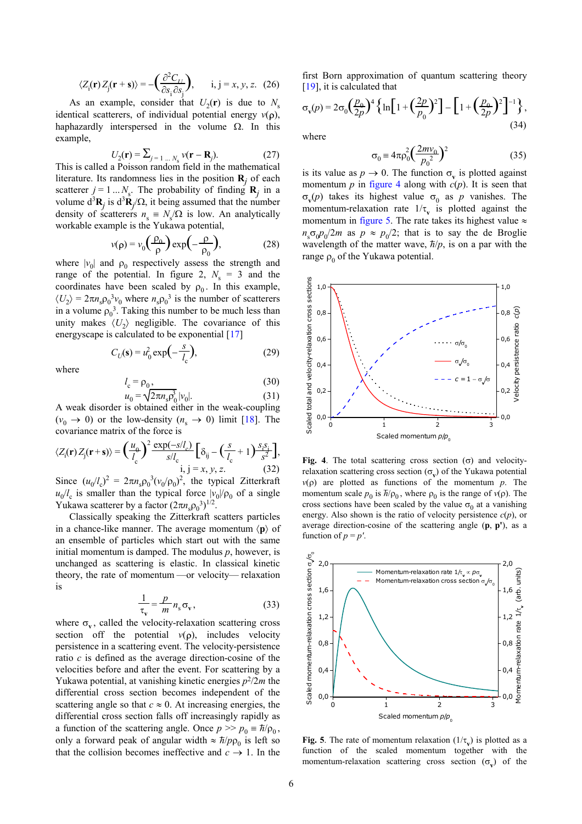$$
\langle Z_{\mathbf{i}}(\mathbf{r}) Z_{\mathbf{j}}(\mathbf{r} + \mathbf{s}) \rangle = -\left(\frac{\partial^2 C_{IJ}}{\partial s_i \partial s_j}\right), \quad \mathbf{i}, \mathbf{j} = x, y, z. \tag{26}
$$

As an example, consider that  $U_2(\mathbf{r})$  is due to  $N_s$ identical scatterers, of individual potential energy  $v(\rho)$ , haphazardly interspersed in the volume  $\Omega$ . In this example, where

$$
U_2(\mathbf{r}) = \sum_{j=1...N_s} v(\mathbf{r} - \mathbf{R}_j).
$$
 (27) 
$$
\sigma_0 = 4\pi \rho_0^2 \left(\frac{2m v_0}{p_0^2}\right)^2
$$
 (35)

This is called a Poisson random field in the mathematical literature. Its randomness lies in the position  $\mathbf{R}_j$  of each scatterer  $j = 1...N_s$ . The probability of finding  $\mathbf{R}_j$  in a volume  $d^3\mathbf{R}_j$  is  $d^3\mathbf{R}_j/\Omega$ , it being assumed that the number density of scatterers  $n_s \equiv N_s/\Omega$  is low. An analytically workable example is the Yukawa potential,

$$
v(\rho) = v_0 \left(\frac{\rho_0}{\rho}\right) \exp\left(-\frac{\rho}{\rho_0}\right),\tag{28}
$$

where  $|v_0|$  and  $\rho_0$  respectively assess the strength and range of the potential. In figure 2,  $N_s = 3$  and the coordinates have been scaled by  $\rho_0$ . In this example,  $\langle U_2 \rangle = 2\pi n_s \rho_0^3 v_0$  where  $n_s \rho_0^3$  is the number of scatterers in a volume  $\rho_0^3$ . Taking this number to be much less than unity makes  $\langle U_2 \rangle$  negligible. The covariance of this energyscape is calculated to be exponential [17]

$$
C_U(\mathbf{s}) = u_0^2 \exp\left(-\frac{s}{l_c}\right),\tag{29}
$$

where

$$
l_c = \rho_0, \tag{30}
$$
  
\n
$$
u_0 = \sqrt{2\pi n_s} \rho_0^3 |v_0|.
$$
  
\n(31)

A weak disorder is obtained either in the weak-coupling  $(v_0 \rightarrow 0)$  or the low-density  $(n_s \rightarrow 0)$  limit [18]. The covariance matrix of the force is

$$
\langle Z_{\rm i}(\mathbf{r}) Z_{\rm j}(\mathbf{r} + \mathbf{s}) \rangle = \left(\frac{u_0}{l_{\rm c}}\right)^2 \frac{\exp(-s/l_{\rm c})}{s/l_{\rm c}} \left[\delta_{\rm ij} - \left(\frac{s}{l_{\rm c}} + 1\right)\frac{s_1 s_1}{s^2}\right],
$$
  
i, j = x, y, z. (32)  
Since  $(u/l)^2 = 2\pi u \cdot 2^{-3}(v/\alpha)^2$  the trivial Zitterker

Since  $(u_0/l_c)$  $2 = 2\pi n_s \rho_0^3 (v_0/\rho_0)^2$ , the typical Zitterkraft  $u_0/l_c$  is smaller than the typical force  $|v_0|/|\rho_0|$  of a single Yukawa scatterer by a factor  $(2\pi n_s \rho_0^3)^{1/2}$ .

Classically speaking the Zitterkraft scatters particles in a chance-like manner. The average momentum  $\langle \mathbf{p} \rangle$  of an ensemble of particles which start out with the same initial momentum is damped. The modulus  $p$ , however, is unchanged as scattering is elastic. In classical kinetic theory, the rate of momentum —or velocity— relaxation is

$$
\frac{1}{\tau_v} = \frac{p}{m} n_s \sigma_v, \qquad (33)
$$

where  $\sigma_{v}$ , called the velocity-relaxation scattering cross section off the potential  $v(\rho)$ , includes velocity persistence in a scattering event. The velocity-persistence ratio *c* is defined as the average direction-cosine of the velocities before and after the event. For scattering by a Yukawa potential, at vanishing kinetic energies  $p^2/2m$  the differential cross section becomes independent of the scattering angle so that  $c \approx 0$ . At increasing energies, the differential cross section falls off increasingly rapidly as a function of the scattering angle. Once  $p \gg p_0 = \hbar/\rho_0$ , only a forward peak of angular width  $\approx \frac{\hbar}{\rho \rho_0}$  is left so that the collision becomes ineffective and  $c \rightarrow 1$ . In the first Born approximation of quantum scattering theory [19], it is calculated that

$$
\sigma_{\mathbf{v}}(p) = 2\sigma_0 \left(\frac{p_0}{2p}\right)^4 \left\{ \ln \left[ 1 + \left(\frac{2p}{p_0}\right)^2 \right] - \left[ 1 + \left(\frac{p_0}{2p}\right)^2 \right]^{-1} \right\},\tag{34}
$$

$$
\sigma_0 = 4\pi \rho_0^2 \left(\frac{2mv_0}{p_0^2}\right)^2\tag{35}
$$

is its value as  $p \to 0$ . The function  $\sigma_v$  is plotted against momentum  $p$  in figure 4 along with  $c(p)$ . It is seen that  $\sigma_{\rm v}(p)$  takes its highest value  $\sigma_0$  as *p* vanishes. The momentum-relaxation rate  $1/\tau_v$  is plotted against the momentum in figure 5. The rate takes its highest value  $\approx$  $n_s \sigma_0 p_0 / 2m$  as  $p \approx p_0 / 2$ ; that is to say the de Broglie wavelength of the matter wave,  $\hbar/p$ , is on a par with the range  $\rho_0$  of the Yukawa potential.



**Fig. 4**. The total scattering cross section (σ) and velocityrelaxation scattering cross section  $(\sigma_{\mathbf{v}})$  of the Yukawa potential *v*(*p*) are plotted as functions of the momentum *p*. The momentum scale  $p_0$  is  $\bar{h}/\rho_0$ , where  $\rho_0$  is the range of  $v(\rho)$ . The cross sections have been scaled by the value  $\sigma_0$  at a vanishing energy. Also shown is the ratio of velocity persistence *c*(*p*), or average direction-cosine of the scattering angle (**p**, **p'**), as a function of  $p = p'$ .



**Fig. 5**. The rate of momentum relaxation  $(1/\tau_v)$  is plotted as a function of the scaled momentum together with the momentum-relaxation scattering cross section  $(\sigma_v)$  of the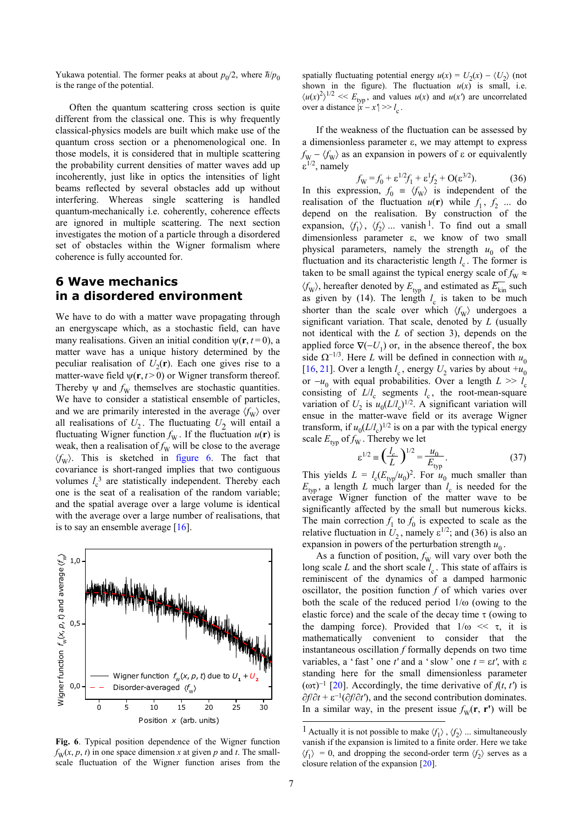Yukawa potential. The former peaks at about  $p_0/2$ , where  $\hbar/p_0$ is the range of the potential.

Often the quantum scattering cross section is quite different from the classical one. This is why frequently classical-physics models are built which make use of the quantum cross section or a phenomenological one. In those models, it is considered that in multiple scattering the probability current densities of matter waves add up incoherently, just like in optics the intensities of light beams reflected by several obstacles add up without interfering. Whereas single scattering is handled quantum-mechanically i.e. coherently, coherence effects are ignored in multiple scattering. The next section investigates the motion of a particle through a disordered set of obstacles within the Wigner formalism where coherence is fully accounted for.

#### **6 Wave mechanics in a disordered environment**

We have to do with a matter wave propagating through an energyscape which, as a stochastic field, can have many realisations. Given an initial condition  $\psi(\mathbf{r}, t=0)$ , a matter wave has a unique history determined by the peculiar realisation of  $U_2(\mathbf{r})$ . Each one gives rise to a matter-wave field  $\psi(\mathbf{r}, t > 0)$  or Wigner transform thereof. Thereby  $\psi$  and  $f_W$  themselves are stochastic quantities. We have to consider a statistical ensemble of particles, and we are primarily interested in the average  $\langle f_{\rm W} \rangle$  over all realisations of  $U_2$ . The fluctuating  $U_2$  will entail a fluctuating Wigner function  $f_{\text{W}}$ . If the fluctuation  $u(\textbf{r})$  is weak, then a realisation of  $f_{\rm W}$  will be close to the average  $\langle f_{\rm W} \rangle$ . This is sketched in figure 6. The fact that covariance is short-ranged implies that two contiguous volumes  $l_c^3$  are statistically independent. Thereby each one is the seat of a realisation of the random variable; and the spatial average over a large volume is identical with the average over a large number of realisations, that is to say an ensemble average [16].



**Fig. 6**. Typical position dependence of the Wigner function  $f_{\text{W}}(x, p, t)$  in one space dimension *x* at given *p* and *t*. The smallscale fluctuation of the Wigner function arises from the

spatially fluctuating potential energy  $u(x) = U_2(x) - \langle U_2 \rangle$  (not shown in the figure). The fluctuation  $u(x)$  is small, i.e.  $\langle u(x)^2 \rangle^{1/2}$  <<  $E_{\text{typ}}$ , and values  $u(x)$  and  $u(x')$  are uncorrelated over a distance  $|x - x'| >> l$ 

If the weakness of the fluctuation can be assessed by a dimensionless parameter ε, we may attempt to express  $f_{\rm W} - \langle f_{\rm W} \rangle$  as an expansion in powers of  $\varepsilon$  or equivalently ε<sup>1/2</sup>, namely

$$
f_{\rm W} = f_0 + \varepsilon^{1/2} f_1 + \varepsilon^1 f_2 + \mathcal{O}(\varepsilon^{3/2}).\tag{36}
$$

In this expression,  $f_0 = \langle f_w \rangle$  is independent of the realisation of the fluctuation  $u(\mathbf{r})$  while  $f_1, f_2$  ... do depend on the realisation. By construction of the expansion,  $\langle f_1 \rangle$ ,  $\langle f_2 \rangle$  ... vanish <sup>1</sup>. To find out a small dimensionless parameter ε, we know of two small physical parameters, namely the strength  $u_0$  of the fluctuation and its characteristic length  $l_c$ . The former is taken to be small against the typical energy scale of  $f_{\rm W} \approx$  $\langle f_{\rm W} \rangle$ , hereafter denoted by  $E_{\rm typ}$  and estimated as  $\overline{E_{\rm kin}}$  such as given by  $(14)$ . The length  $l_c$  is taken to be much shorter than the scale over which  $\langle f_{W} \rangle$  undergoes a significant variation. That scale, denoted by *L* (usually not identical with the *L* of section 3), depends on the applied force  $\nabla(-U_1)$  or, in the absence thereof, the box side  $\Omega^{-1/3}$ . Here *L* will be defined in connection with  $u_0$ [16, 21]. Over a length  $l_c$ , energy  $U_2$  varies by about  $+u_0$ or  $-u_0$  with equal probabilities. Over a length  $L \gg l_c$ consisting of  $L/l_c$  segments  $l_c$ , the root-mean-square variation of  $U_2$  is  $u_0(L/l_c)^{1/2}$ . A significant variation will ensue in the matter-wave field or its average Wigner transform, if  $u_0(L/l_c)^{1/2}$  is on a par with the typical energy scale  $E_{\text{tvn}}$  of  $f_{\text{W}}$ . Thereby we let

$$
\varepsilon^{1/2} \equiv \left(\frac{l_c}{L}\right)^{1/2} = \frac{u_0}{E_{\text{typ}}}.
$$
 (37)

This yields  $L = l_c(E_{typ}/u_0)^2$ . For  $u_0$  much smaller than  $E_{\text{typ}}$ , a length *L* much larger than  $l_c$  is needed for the average Wigner function of the matter wave to be significantly affected by the small but numerous kicks. The main correction  $f_1$  to  $f_0$  is expected to scale as the relative fluctuation in  $U_2$ , namely  $\varepsilon^{1/2}$ ; and (36) is also an expansion in powers of the perturbation strength  $u_0$ .

As a function of position,  $f_{\text{W}}$  will vary over both the long scale  $L$  and the short scale  $l_c$ . This state of affairs is reminiscent of the dynamics of a damped harmonic oscillator, the position function *f* of which varies over both the scale of the reduced period  $1/\omega$  (owing to the elastic force) and the scale of the decay time  $\tau$  (owing to the damping force). Provided that  $1/\omega \ll \tau$ , it is mathematically convenient to consider that the instantaneous oscillation *f* formally depends on two time variables, a 'fast' one  $t'$  and a 'slow' one  $t = \varepsilon t'$ , with  $\varepsilon$ standing here for the small dimensionless parameter ( $ωτ$ )<sup>-1</sup> [20]. Accordingly, the time derivative of *f*(*t*, *t*<sup>*'*</sup>) is ∂*f*/∂*t* + ε −1 (∂*f*/∂*t'*), and the second contribution dominates. In a similar way, in the present issue  $f<sub>W</sub>(\mathbf{r}, \mathbf{r}')$  will be

j

<sup>&</sup>lt;sup>1</sup> Actually it is not possible to make  $\langle f_1 \rangle$ ,  $\langle f_2 \rangle$  ... simultaneously vanish if the expansion is limited to a finite order. Here we take  $\langle f_1 \rangle = 0$ , and dropping the second-order term  $\langle f_2 \rangle$  serves as a closure relation of the expansion [20].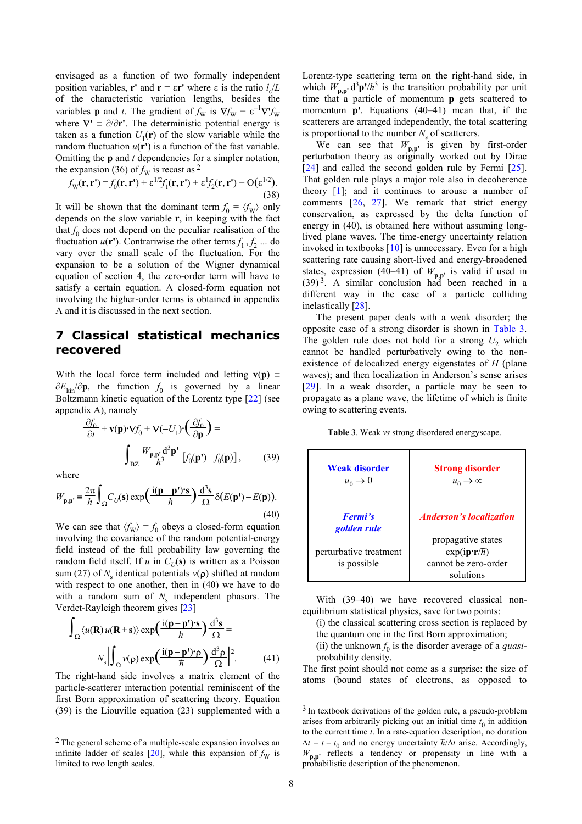envisaged as a function of two formally independent position variables, **r'** and **r** =  $\epsilon$ **r'** where  $\epsilon$  is the ratio  $l_c/L$ of the characteristic variation lengths, besides the variables **p** and *t*. The gradient of  $f_{\text{W}}$  is  $\nabla f_{\text{W}}$  +  $\varepsilon^{-1}\nabla' f_{\text{W}}$ where  $\nabla' = \partial/\partial r'$ . The deterministic potential energy is taken as a function  $U_1(\mathbf{r})$  of the slow variable while the random fluctuation  $u(\mathbf{r}')$  is a function of the fast variable. Omitting the **p** and *t* dependencies for a simpler notation, the expansion (36) of  $f_{\rm W}$  is recast as <sup>2</sup>

$$
f_{\mathbf{W}}(\mathbf{r}, \mathbf{r'}) = f_0(\mathbf{r}, \mathbf{r'}) + \varepsilon^{1/2} f_1(\mathbf{r}, \mathbf{r'}) + \varepsilon^1 f_2(\mathbf{r}, \mathbf{r'}) + \mathcal{O}(\varepsilon^{1/2}).
$$
\n(38)

It will be shown that the dominant term  $f_0 = \langle f_{\rm W} \rangle$  only depends on the slow variable **r**, in keeping with the fact that  $f_0$  does not depend on the peculiar realisation of the fluctuation  $u(\mathbf{r}')$ . Contrariwise the other terms  $f_1, f_2$  ... do vary over the small scale of the fluctuation. For the expansion to be a solution of the Wigner dynamical equation of section 4, the zero-order term will have to satisfy a certain equation. A closed-form equation not involving the higher-order terms is obtained in appendix A and it is discussed in the next section.<br>The present paper deals with a weak disorder; the

#### **7 Classical statistical mechanics recovered**

With the local force term included and letting  $\mathbf{v}(\mathbf{p})$  = ∂*E*kin/∂**p**, the function *f* 0 is governed by a linear Boltzmann kinetic equation of the Lorentz type [22] (see appendix A), namely

$$
\frac{\partial f_0}{\partial t} + \mathbf{v}(\mathbf{p}) \cdot \nabla f_0 + \nabla(-U_1) \cdot \left(\frac{\partial f_0}{\partial \mathbf{p}}\right) =
$$
\n
$$
\int_{\text{BZ}} \frac{W_{\mathbf{p}, \mathbf{p}} d^3 \mathbf{p}'}{h^3} \left[ f_0(\mathbf{p}') - f_0(\mathbf{p}) \right],\tag{39}
$$

where

-

$$
W_{\mathbf{p},\mathbf{p}'} = \frac{2\pi}{\hbar} \int_{\Omega} C_U(\mathbf{s}) \exp\left(\frac{\mathrm{i}(\mathbf{p} - \mathbf{p}') \cdot \mathbf{s}}{\hbar}\right) \frac{\mathrm{d}^3 \mathbf{s}}{\Omega} \delta(E(\mathbf{p}') - E(\mathbf{p})).
$$
\n(40)

We can see that  $\langle f_W \rangle = f_0$  obeys a closed-form equation involving the covariance of the random potential-energy field instead of the full probability law governing the random field itself. If *u* in  $C_U(s)$  is written as a Poisson sum (27) of *N*<sub>s</sub> identical potentials *v*(**ρ**) shifted at random with respect to one another, then in (40) we have to do with a random sum of  $N_s$  independent phasors. The Verdet-Rayleigh theorem gives [23]

$$
\int_{\Omega} \langle u(\mathbf{R}) u(\mathbf{R} + \mathbf{s}) \rangle \exp\left(\frac{i(\mathbf{p} - \mathbf{p}') \cdot \mathbf{s}}{\hbar}\right) \frac{d^3 \mathbf{s}}{\Omega} =
$$

$$
N_s \left| \int_{\Omega} v(\mathbf{p}) \exp\left(\frac{i(\mathbf{p} - \mathbf{p}') \cdot \mathbf{p}}{\hbar}\right) \frac{d^3 \mathbf{p}}{\Omega} \right|^2.
$$
(41)

The right-hand side involves a matrix element of the atoms (bound states of electrons, as opposed to particle-scatterer interaction potential reminiscent of the first Born approximation of scattering theory. Equation (39) is the Liouville equation (23) supplemented with a

Lorentz-type scattering term on the right-hand side, in which  $W_{\mathbf{p},\mathbf{p}'} \, \mathrm{d}^3 \mathbf{p'} / h^3$  is the transition probability per unit time that a particle of momentum **p** gets scattered to momentum **p'**. Equations (40–41) mean that, if the scatterers are arranged independently, the total scattering is proportional to the number  $N<sub>s</sub>$  of scatterers.

We can see that  $W_{\mathbf{p},\mathbf{p}'}$  is given by first-order perturbation theory as originally worked out by Dirac [24] and called the second golden rule by Fermi [25]. That golden rule plays a major role also in decoherence theory  $[1]$ ; and it continues to arouse a number of comments  $[26, 27]$ . We remark that strict energy conservation, as expressed by the delta function of energy in (40), is obtained here without assuming longlived plane waves. The time-energy uncertainty relation invoked in textbooks [10] is unnecessary. Even for a high scattering rate causing short-lived and energy-broadened states, expression (40–41) of  $W_{\mathbf{p},\mathbf{p}'}$  is valid if used in  $(39)^3$ . A similar conclusion had been reached in a different way in the case of a particle colliding inelastically [28].

opposite case of a strong disorder is shown in Table 3. The golden rule does not hold for a strong  $U_2$  which cannot be handled perturbatively owing to the nonexistence of delocalized energy eigenstates of *H* (plane waves); and then localization in Anderson's sense arises [29]. In a weak disorder, a particle may be seen to propagate as a plane wave, the lifetime of which is finite owing to scattering events.

)<sup>=</sup> **Table 3**. Weak *vs* strong disordered energyscape.

| (39)                       | <b>Weak disorder</b><br>$u_0 \rightarrow 0$ | <b>Strong disorder</b><br>$u_0 \rightarrow \infty$                                |
|----------------------------|---------------------------------------------|-----------------------------------------------------------------------------------|
| p)).                       |                                             |                                                                                   |
| (40)<br>ıtion              | <b>Fermi's</b><br>golden rule               | <b>Anderson's localization</b>                                                    |
| ergy<br>the<br>sson<br>dom | perturbative treatment<br>is possible       | propagative states<br>$exp(ip\cdot r/\hbar)$<br>cannot be zero-order<br>solutions |

With (39–40) we have recovered classical nonequilibrium statistical physics, save for two points:

- (i) the classical scattering cross section is replaced by the quantum one in the first Born approximation;
- (ii) the unknown  $f_0$  is the disorder average of a *quasi*probability density.

The first point should not come as a surprise: the size of

l

<sup>2</sup> The general scheme of a multiple-scale expansion involves an infinite ladder of scales  $[20]$ , while this expansion of  $f<sub>W</sub>$  is limited to two length scales.

<sup>&</sup>lt;sup>3</sup> In textbook derivations of the golden rule, a pseudo-problem arises from arbitrarily picking out an initial time  $t_0$  in addition to the current time  $t$ . In a rate-equation description, no duration  $\Delta t = t - t_0$  and no energy uncertainty  $\hbar/\Delta t$  arise. Accordingly,  $W_{\mathbf{p},\mathbf{p}'}$  reflects a tendency or propensity in line with a probabilistic description of the phenomenon.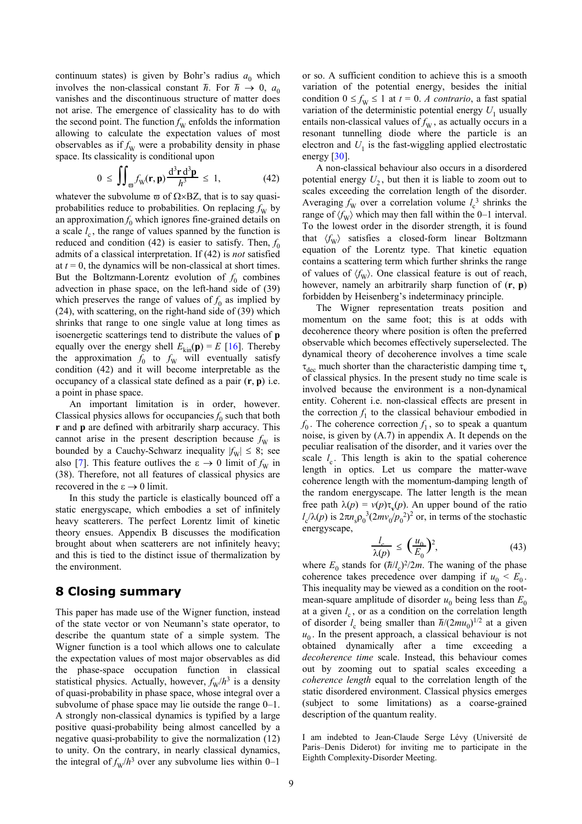continuum states) is given by Bohr's radius  $a_0$  which involves the non-classical constant  $\hbar$ . For  $\hbar \to 0$ ,  $a_0$ vanishes and the discontinuous structure of matter does not arise. The emergence of classicality has to do with the second point. The function  $f_{\rm W}$  enfolds the information allowing to calculate the expectation values of most observables as if  $f_{\rm W}$  were a probability density in phase space. Its classicality is conditional upon

$$
0 \leq \iint_{\overline{\omega}} f_{\mathbf{W}}(\mathbf{r}, \mathbf{p}) \frac{d^3 \mathbf{r} d^3 \mathbf{p}}{h^3} \leq 1, \tag{42}
$$

whatever the subvolume  $\varpi$  of  $\Omega \times BZ$ , that is to say quasiprobabilities reduce to probabilities. On replacing  $f_{\rm W}$  by an approximation  $f_0$  which ignores fine-grained details on a scale  $l_c$ , the range of values spanned by the function is reduced and condition  $(42)$  is easier to satisfy. Then,  $f_0$ admits of a classical interpretation. If (42) is *not* satisfied at  $t = 0$ , the dynamics will be non-classical at short times. But the Boltzmann-Lorentz evolution of  $f_0$  combines advection in phase space, on the left-hand side of (39) which preserves the range of values of  $f_0$  as implied by (24), with scattering, on the right-hand side of (39) which shrinks that range to one single value at long times as isoenergetic scatterings tend to distribute the values of **p** equally over the energy shell  $E_{kin}(\mathbf{p}) = E$  [16]. Thereby the approximation  $f_0$  to  $f_W$  will eventually satisfy condition (42) and it will become interpretable as the occupancy of a classical state defined as a pair (**r**, **p**) i.e. a point in phase space.

 An important limitation is in order, however. Classical physics allows for occupancies  $f_0$  such that both **r** and **p** are defined with arbitrarily sharp accuracy. This cannot arise in the present description because  $f_{\rm W}$  is bounded by a Cauchy-Schwarz inequality  $|f_{\text{W}}| \leq 8$ ; see also [7]. This feature outlives the  $\varepsilon \to 0$  limit of  $f_{\rm W}$  in (38). Therefore, not all features of classical physics are recovered in the  $\varepsilon \to 0$  limit.

In this study the particle is elastically bounced off a static energyscape, which embodies a set of infinitely heavy scatterers. The perfect Lorentz limit of kinetic theory ensues. Appendix B discusses the modification brought about when scatterers are not infinitely heavy; and this is tied to the distinct issue of thermalization by the environment.

#### **8 Closing summary**

This paper has made use of the Wigner function, instead of the state vector or von Neumann's state operator, to describe the quantum state of a simple system. The Wigner function is a tool which allows one to calculate the expectation values of most major observables as did the phase-space occupation function in classical statistical physics. Actually, however,  $f_{\rm W}/h^3$  is a density of quasi-probability in phase space, whose integral over a subvolume of phase space may lie outside the range 0–1. A strongly non-classical dynamics is typified by a large positive quasi-probability being almost cancelled by a negative quasi-probability to give the normalization (12) to unity. On the contrary, in nearly classical dynamics, the integral of  $f_{\text{W}}/h^3$  over any subvolume lies within 0–1

or so. A sufficient condition to achieve this is a smooth variation of the potential energy, besides the initial condition  $0 \le f_W \le 1$  at  $t = 0$ . *A contrario*, a fast spatial variation of the deterministic potential energy  $U_1$  usually entails non-classical values of  $f_{\rm W}$ , as actually occurs in a resonant tunnelling diode where the particle is an electron and  $U_1$  is the fast-wiggling applied electrostatic energy [30].

A non-classical behaviour also occurs in a disordered potential energy  $U_2$ , but then it is liable to zoom out to scales exceeding the correlation length of the disorder. Averaging  $f_{\rm W}$  over a correlation volume  $l_{\rm c}^{3}$  shrinks the range of  $\langle f_{\rm W} \rangle$  which may then fall within the 0–1 interval. To the lowest order in the disorder strength, it is found that  $\langle f_{\rm w} \rangle$  satisfies a closed-form linear Boltzmann equation of the Lorentz type. That kinetic equation contains a scattering term which further shrinks the range of values of  $\langle f_w \rangle$ . One classical feature is out of reach, however, namely an arbitrarily sharp function of (**r**, **p**) forbidden by Heisenberg's indeterminacy principle.

The Wigner representation treats position and momentum on the same foot; this is at odds with decoherence theory where position is often the preferred observable which becomes effectively superselected. The dynamical theory of decoherence involves a time scale  $\tau_{\text{dec}}$  much shorter than the characteristic damping time  $\tau_{\text{v}}$ of classical physics. In the present study no time scale is involved because the environment is a non-dynamical entity. Coherent i.e. non-classical effects are present in the correction  $f_1$  to the classical behaviour embodied in  $f_0$ . The coherence correction  $f_1$ , so to speak a quantum noise, is given by (A.7) in appendix A. It depends on the peculiar realisation of the disorder, and it varies over the scale  $l_c$ . This length is akin to the spatial coherence length in optics. Let us compare the matter-wave coherence length with the momentum-damping length of the random energyscape. The latter length is the mean free path  $\lambda(p) = v(p)\tau_v(p)$ . An upper bound of the ratio  $l_c/\lambda(p)$  is  $2\pi n_s \rho_0^3 (2mv_0/p_0^2)^2$  or, in terms of the stochastic energyscape,

$$
\frac{l_c}{\lambda(p)} \le \left(\frac{u_0}{E_0}\right)^2,\tag{43}
$$

where  $E_0$  stands for ( $\hbar$  $\frac{1}{c}$ <sup>2</sup>/2*m*. The waning of the phase coherence takes precedence over damping if  $u_0 < E_0$ . This inequality may be viewed as a condition on the rootmean-square amplitude of disorder  $u_0$  being less than  $E_0$ at a given  $l_c$ , or as a condition on the correlation length of disorder  $l_c$  being smaller than  $\hbar/(2mu_0)^{1/2}$  at a given  $u_0$ . In the present approach, a classical behaviour is not obtained dynamically after a time exceeding a *decoherence time* scale. Instead, this behaviour comes out by zooming out to spatial scales exceeding a *coherence length* equal to the correlation length of the static disordered environment. Classical physics emerges (subject to some limitations) as a coarse-grained description of the quantum reality.

I am indebted to Jean-Claude Serge Lévy (Université de Paris–Denis Diderot) for inviting me to participate in the Eighth Complexity-Disorder Meeting.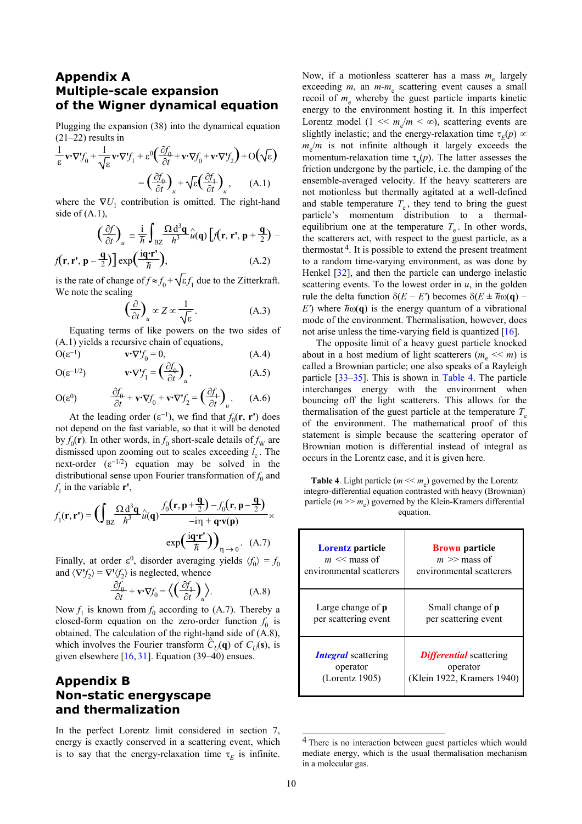# **Multiple-scale expansion of the Wigner dynamical equation**

Plugging the expansion (38) into the dynamical equation  $(21–22)$  results in

$$
\frac{1}{\varepsilon} \mathbf{v} \cdot \nabla f_0 + \frac{1}{\sqrt{\varepsilon}} \mathbf{v} \cdot \nabla f_1 + \varepsilon^0 \left( \frac{\partial f_0}{\partial t} + \mathbf{v} \cdot \nabla f_0 + \mathbf{v} \cdot \nabla f_2 \right) + O\left(\sqrt{\varepsilon}\right)
$$

$$
= \left( \frac{\partial f_0}{\partial t} \right)_u + \sqrt{\varepsilon} \left( \frac{\partial f_1}{\partial t} \right)_u, \qquad (A.1)
$$

where the  $\nabla U_1$  contribution is omitted. The right-hand side of  $(A.1)$ ,

$$
\left(\frac{\partial f}{\partial t}\right)_u = \frac{\mathrm{i}}{\hbar} \int_{\mathrm{BZ}} \frac{\Omega \mathrm{d}^3 \mathbf{q}}{h^3} \hat{u}(\mathbf{q}) \left[ f(\mathbf{r}, \mathbf{r}', \mathbf{p} + \frac{\mathbf{q}}{2}) - f(\mathbf{r}, \mathbf{r}', \mathbf{p} - \frac{\mathbf{q}}{2}) \right] \exp\left(\frac{\mathrm{i}\mathbf{q}'\mathbf{r}'}{\hbar}\right),\tag{A.2}
$$

is the rate of change of  $f \approx f_0 + \sqrt{\epsilon} f_1$  due to the Zitterkraft. We note the scaling

$$
\left(\frac{\partial}{\partial t}\right)_u \propto Z \propto \frac{1}{\sqrt{\varepsilon}}.\tag{A.3}
$$

Equating terms of like powers on the two sides of (A.1) yields a recursive chain of equations, The opposite limit of a heavy guest particle knocked

$$
\mathbf{O}(\varepsilon^{-1}) \qquad \mathbf{v} \cdot \nabla f_0 = 0, \tag{A.4}
$$

$$
O(\varepsilon^{-1/2}) \qquad \mathbf{v} \cdot \nabla' f_1 = \left(\frac{\partial f_0}{\partial t}\right)_u, \qquad (A.5)
$$

$$
O(\varepsilon^{0}) \qquad \frac{\partial f_{0}}{\partial t} + \mathbf{v} \cdot \nabla f_{0} + \mathbf{v} \cdot \nabla f_{2} = \left(\frac{\partial f_{1}}{\partial t}\right)_{u}. \qquad (A.6)
$$

At the leading order  $(\epsilon^{-1})$ , we find that  $f_0(\mathbf{r}, \mathbf{r}')$  does not depend on the fast variable, so that it will be denoted by  $f_0(\mathbf{r})$ . In other words, in  $f_0$  short-scale details of  $f_{\rm W}$  are dismissed upon zooming out to scales exceeding  $l_c$ . The next-order  $(\varepsilon^{-1/2})$  equation may be solved in the distributional sense upon Fourier transformation of  $f_0$  and  $f_1$  in the variable **r'**,

$$
f_1(\mathbf{r}, \mathbf{r}') = \left( \int_{BZ} \frac{\Omega d^3 \mathbf{q}}{h^3} \hat{u}(\mathbf{q}) \frac{f_0(\mathbf{r}, \mathbf{p} + \frac{\mathbf{q}}{2}) - f_0(\mathbf{r}, \mathbf{p} - \frac{\mathbf{q}}{2})}{-\text{in} + \mathbf{q} \cdot \mathbf{v}(\mathbf{p})} \times \frac{\text{particle } (m \gg m_e) \text{ governed by the equation.}}{\text{exp}(\frac{\text{i}\mathbf{q} \cdot \mathbf{r}'}{\hbar})\right)_{\eta \to 0}}.
$$
 (A.7) **Lorentz particle**

Finally, at order  $\varepsilon^0$ , disorder averaging yields  $\langle f_0 \rangle = f_0$ and  $\langle \nabla f_2 \rangle = \nabla^* \langle f_2 \rangle$  is neglected, whence

$$
\frac{\partial f_0}{\partial t} + \mathbf{v} \cdot \nabla f_0 = \left\langle \left( \frac{\partial f_1}{\partial t} \right)_u \right\rangle. \tag{A.8}
$$

Now  $f_1$  is known from  $f_0$  according to (A.7). Thereby a closed-form equation on the zero-order function  $f_0$  is obtained. The calculation of the right-hand side of (A.8), which involves the Fourier transform  $\hat{C}_U(\mathbf{q})$  of  $C_U(\mathbf{s})$ , is given elsewhere [16, 31]. Equation (39–40) ensues.

### **Appendix B Non-static energyscape and thermalization**

In the perfect Lorentz limit considered in section 7, energy is exactly conserved in a scattering event, which is to say that the energy-relaxation time  $\tau_E$  is infinite.

**Appendix A** Now, if a motionless scatterer has a mass  $m_e$  largely exceeding *m*, an *m*-*m*<sub>e</sub> scattering event causes a small recoil of  $m_e$  whereby the guest particle imparts kinetic energy to the environment hosting it. In this imperfect Lorentz model  $(1 \ll m_e/m \ll \infty)$ , scattering events are slightly inelastic; and the energy-relaxation time  $\tau_E(p) \propto$  $m_e/m$  is not infinite although it largely exceeds the momentum-relaxation time  $\tau_{\bf v}(p)$ . The latter assesses the friction undergone by the particle, i.e. the damping of the ensemble-averaged velocity. If the heavy scatterers are not motionless but thermally agitated at a well-defined and stable temperature  $T_e$ , they tend to bring the guest particle's momentum distribution to a thermalequilibrium one at the temperature  $T_e$ . In other words, the scatterers act, with respect to the guest particle, as a thermostat  $4$ . It is possible to extend the present treatment to a random time-varying environment, as was done by Henkel [32], and then the particle can undergo inelastic scattering events. To the lowest order in  $u$ , in the golden rule the delta function  $\delta(E - E')$  becomes  $\delta(E \pm \hbar \omega(\mathbf{q}) E'$ ) where  $\bar{n}$ <sup>( $\omega$ </sup>) is the energy quantum of a vibrational mode of the environment. Thermalisation, however, does not arise unless the time-varying field is quantized [16].

> about in a host medium of light scatterers ( $m_e \ll m$ ) is called a Brownian particle; one also speaks of a Rayleigh particle [33–35]. This is shown in Table 4. The particle interchanges energy with the environment when bouncing off the light scatterers. This allows for the thermalisation of the guest particle at the temperature  $T_e$ of the environment. The mathematical proof of this statement is simple because the scattering operator of Brownian motion is differential instead of integral as occurs in the Lorentz case, and it is given here.

> **Table 4**. Light particle ( $m \ll m_e$ ) governed by the Lorentz integro-differential equation contrasted with heavy (Brownian) particle ( $m \gg m_e$ ) governed by the Klein-Kramers differential

| (A.7)<br>$s \langle f_0 \rangle = f_0$<br>(A.8)<br>Thereby a<br>ction $f_0$ is<br>$\circ$ of (A.8),<br>f $C_U(s)$ , is<br>ues. | <b>Lorentz</b> particle<br>$m \ll$ mass of<br>environmental scatterers | <b>Brown</b> particle<br>$m \gg$ mass of<br>environmental scatterers     |
|--------------------------------------------------------------------------------------------------------------------------------|------------------------------------------------------------------------|--------------------------------------------------------------------------|
|                                                                                                                                | Large change of $p$<br>per scattering event                            | Small change of <b>p</b><br>per scattering event                         |
|                                                                                                                                | <b>Integral</b> scattering<br>operator<br>(Lorentz 1905)               | <b>Differential</b> scattering<br>operator<br>(Klein 1922, Kramers 1940) |

<sup>&</sup>lt;sup>4</sup> There is no interaction between guest particles which would mediate energy, which is the usual thermalisation mechanism in a molecular gas.

 $\overline{a}$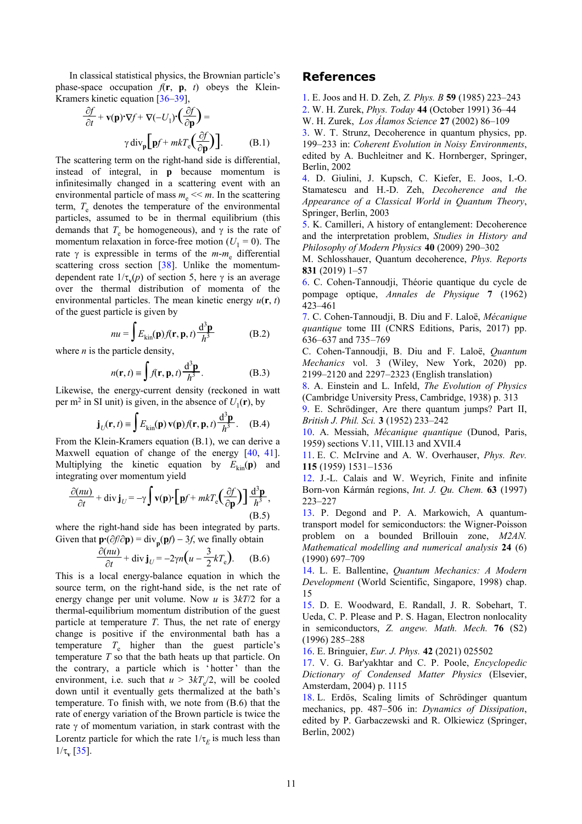In classical statistical physics, the Brownian particle's phase-space occupation  $f(\mathbf{r}, \mathbf{p}, t)$  obeys the Klein-Kramers kinetic equation [36–39],

$$
\frac{\partial f}{\partial t} + \mathbf{v}(\mathbf{p}) \cdot \nabla f + \nabla (-U_1) \cdot \left(\frac{\partial f}{\partial \mathbf{p}}\right) =
$$
  
 
$$
\gamma \operatorname{div}_{\mathbf{p}} \left[\mathbf{p} f + m k T_e \left(\frac{\partial f}{\partial \mathbf{p}}\right)\right].
$$
 (B.1)

The scattering term on the right-hand side is differential, instead of integral, in **p** because momentum is infinitesimally changed in a scattering event with an environmental particle of mass  $m_e \ll m$ . In the scattering term,  $T_e$  denotes the temperature of the environmental particles, assumed to be in thermal equilibrium (this demands that  $T_e$  be homogeneous), and  $\gamma$  is the rate of momentum relaxation in force-free motion  $(U_1 = 0)$ . The rate γ is expressible in terms of the *m*-*m*<sup>e</sup> differential scattering cross section [38]. Unlike the momentumdependent rate  $1/\tau_{\mathbf{v}}(p)$  of section 5, here  $\gamma$  is an average over the thermal distribution of momenta of the environmental particles. The mean kinetic energy  $u(\mathbf{r}, t)$ of the guest particle is given by

$$
nu = \int E_{\text{kin}}(\mathbf{p}) f(\mathbf{r}, \mathbf{p}, t) \frac{d^3 \mathbf{p}}{h^3}
$$
 (B.2)

$$
n(\mathbf{r},t) \equiv \int f(\mathbf{r},\mathbf{p},t) \frac{d^3 \mathbf{p}}{h^3}.
$$
 (B.3)

Likewise, the energy-current density (reckoned in watt per m<sup>2</sup> in SI unit) is given, in the absence of  $U_1(\mathbf{r})$ , by

$$
\mathbf{j}_U(\mathbf{r},t) \equiv \int E_{\text{kin}}(\mathbf{p}) \,\mathbf{v}(\mathbf{p}) f(\mathbf{r},\mathbf{p},t) \frac{\mathrm{d}^3 \mathbf{p}}{h^3} \,. \tag{B.4}
$$

From the Klein-Kramers equation (B.1), we can derive a  $1959$  sections V.11, VIII.13 and XVII.4 Maxwell equation of change of the energy [40, 41]. Multiplying the kinetic equation by  $E_{kin}(\mathbf{p})$  and integrating over momentum yield

$$
\frac{\partial (nu)}{\partial t} + \text{div } \mathbf{j}_U = -\gamma \int \mathbf{v}(\mathbf{p}) \cdot \left[ \mathbf{p} f + mkT_e \left( \frac{\partial f}{\partial \mathbf{p}} \right) \right] \frac{\mathrm{d}^3 \mathbf{p}}{h^3},
$$
\n(B.5)

where the right-hand side has been integrated by parts. Given that  $\mathbf{p} \cdot (\partial f / \partial \mathbf{p}) = \text{div}_{\mathbf{p}}(\mathbf{p}f) - 3f$ , we finally obtain

$$
\frac{\partial(nu)}{\partial t} + \text{div } \mathbf{j}_U = -2\gamma n \Big( u - \frac{3}{2} k T_e \Big). \qquad (B.6)
$$

This is a local energy-balance equation in which the source term, on the right-hand side, is the net rate of energy change per unit volume. Now *u* is 3*kT*/2 for a thermal-equilibrium momentum distribution of the guest particle at temperature *T*. Thus, the net rate of energy change is positive if the environmental bath has a temperature  $T_e$  higher than the guest particle's temperature *T* so that the bath heats up that particle. On the contrary, a particle which is 'hotter' than the environment, i.e. such that  $u > 3kT_e/2$ , will be cooled down until it eventually gets thermalized at the bath's temperature. To finish with, we note from (B.6) that the rate of energy variation of the Brown particle is twice the rate  $\gamma$  of momentum variation, in stark contrast with the Lorentz particle for which the rate  $1/\tau_E$  is much less than  $1/τ$ <sub>v</sub> [35].

#### **References**

1. E. Joos and H. D. Zeh, *Z. Phys. B* **59** (1985) 223–243

∂*f* 2. W. H. Zurek, *Phys. Today* **44** (October 1991) 36–44 )<sup>=</sup> W. H. Zurek, *Los Álamos Science* **<sup>27</sup>** (2002) 86–109

3. W. T. Strunz, Decoherence in quantum physics, pp.

199–233 in: *Coherent Evolution in Noisy Environments*, edited by A. Buchleitner and K. Hornberger, Springer, Berlin, 2002

4. D. Giulini, J. Kupsch, C. Kiefer, E. Joos, I.-O. Stamatescu and H.-D. Zeh, *Decoherence and the Appearance of a Classical World in Quantum Theory*, Springer, Berlin, 2003

5. K. Camilleri, A history of entanglement: Decoherence and the interpretation problem, *Studies in History and Philosophy of Modern Physics* **40** (2009) 290–302

M. Schlosshauer, Quantum decoherence, *Phys. Reports* **831** (2019) 1–57

6. C. Cohen-Tannoudji, Théorie quantique du cycle de pompage optique, *Annales de Physique* **7** (1962) 423–461

7. C. Cohen-Tannoudji, B. Diu and F. Laloë, *Mécanique*  $nu = \int E_{\text{kin}}(\mathbf{p}) f(\mathbf{r}, \mathbf{p}, t) \frac{d^3 \mathbf{p}}{h^3}$  (B.2) *quantique* tome III (CNRS Editions, Paris, 2017) pp.<br>636–637 and 735–769

where *n* is the particle density, C. Cohen-Tannoudji, B. Diu and F. Laloë, *Quantum Mechanics* vol. 3 (Wiley, New York, 2020) pp. *f*(**r**, **p**, *t*) 2199–2120 and 2297–2323 (English translation)

> 8. A. Einstein and L. Infeld, *The Evolution of Physics* (Cambridge University Press, Cambridge, 1938) p. 313

> 9. E. Schrödinger, Are there quantum jumps? Part II, *British J. Phil. Sci.* **<sup>3</sup>** (1952) 233–242 **<sup>j</sup>***<sup>U</sup>*

> 10. A. Messiah, *Mécanique quantique* (Dunod, Paris,

11. E. C. McIrvine and A. W. Overhauser, *Phys. Rev.* **115** (1959) 1531–1536

12. J.-L. Calais and W. Weyrich, Finite and infinite Born-von Kármán regions, *Int. J. Qu. Chem.* **63** (1997) 223–227

13. P. Degond and P. A. Markowich, A quantumtransport model for semiconductors: the Wigner-Poisson problem on a bounded Brillouin zone, *M2AN. Mathematical modelling and numerical analysis* **24** (6) (1990) 697–709

14. L. E. Ballentine, *Quantum Mechanics: A Modern Development* (World Scientific, Singapore, 1998) chap. 15

15. D. E. Woodward, E. Randall, J. R. Sobehart, T. Ueda, C. P. Please and P. S. Hagan, Electron nonlocality in semiconductors, *Z. angew. Math. Mech.* **76** (S2) (1996) 285–288

16. E. Bringuier, *Eur. J. Phys.* **42** (2021) 025502

17. V. G. Bar'yakhtar and C. P. Poole, *Encyclopedic Dictionary of Condensed Matter Physics* (Elsevier, Amsterdam, 2004) p. 1115

18. L. Erdös, Scaling limits of Schrödinger quantum mechanics, pp. 487–506 in: *Dynamics of Dissipation*, edited by P. Garbaczewski and R. Olkiewicz (Springer, Berlin, 2002)